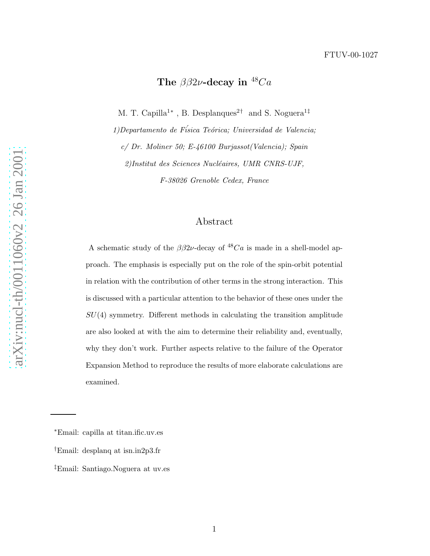## The  $\beta\beta 2\nu$ -decay in  $^{48}Ca$

M. T. Capilla<sup>1\*</sup>, B. Desplanques<sup>2†</sup> and S. Noguera<sup>1‡</sup>

1)Departamento de Física Teórica; Universidad de Valencia; c/ Dr. Moliner 50; E-46100 Burjassot(Valencia); Spain 2)Institut des Sciences Nucléaires, UMR CNRS-UJF, F-38026 Grenoble Cedex, France

## Abstract

A schematic study of the  $\beta\beta 2\nu$ -decay of <sup>48</sup>Ca is made in a shell-model approach. The emphasis is especially put on the role of the spin-orbit potential in relation with the contribution of other terms in the strong interaction. This is discussed with a particular attention to the behavior of these ones under the  $SU(4)$  symmetry. Different methods in calculating the transition amplitude are also looked at with the aim to determine their reliability and, eventually, why they don't work. Further aspects relative to the failure of the Operator Expansion Method to reproduce the results of more elaborate calculations are examined.

<sup>∗</sup>Email: capilla at titan.ific.uv.es

<sup>†</sup>Email: desplanq at isn.in2p3.fr

<sup>‡</sup>Email: Santiago.Noguera at uv.es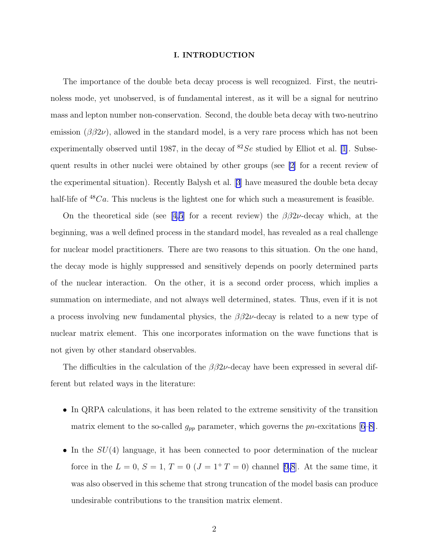### I. INTRODUCTION

The importance of the double beta decay process is well recognized. First, the neutrinoless mode, yet unobserved, is of fundamental interest, as it will be a signal for neutrino mass and lepton number non-conservation. Second, the double beta decay with two-neutrino emission  $(\beta \beta 2\nu)$ , allowed in the standard model, is a very rare process which has not been experimentally observed until 1987, in the decay of  ${}^{82}Se$  studied by Elliot et al. [\[1](#page-20-0)]. Subsequent results in other nuclei were obtained by other groups (see [\[2](#page-20-0)] for a recent review of the experimental situation). Recently Balysh et al.[[3](#page-20-0)] have measured the double beta decay half-life of  $48Ca$ . This nucleus is the lightest one for which such a measurement is feasible.

Onthe theoretical side (see [[4,5\]](#page-20-0) for a recent review) the  $\beta\beta 2\nu$ -decay which, at the beginning, was a well defined process in the standard model, has revealed as a real challenge for nuclear model practitioners. There are two reasons to this situation. On the one hand, the decay mode is highly suppressed and sensitively depends on poorly determined parts of the nuclear interaction. On the other, it is a second order process, which implies a summation on intermediate, and not always well determined, states. Thus, even if it is not a process involving new fundamental physics, the  $\beta\beta 2\nu$ -decay is related to a new type of nuclear matrix element. This one incorporates information on the wave functions that is not given by other standard observables.

The difficulties in the calculation of the  $\beta\beta 2\nu$ -decay have been expressed in several different but related ways in the literature:

- In QRPA calculations, it has been related to the extreme sensitivity of the transition matrix element to the so-called  $g_{pp}$  parameter, which governs the pn-excitations [\[6](#page-20-0)–[8\]](#page-20-0).
- In the  $SU(4)$  language, it has been connected to poor determination of the nuclear force in the  $L = 0, S = 1, T = 0 (J = 1 + T = 0)$  channel [\[9,8](#page-20-0)]. At the same time, it was also observed in this scheme that strong truncation of the model basis can produce undesirable contributions to the transition matrix element.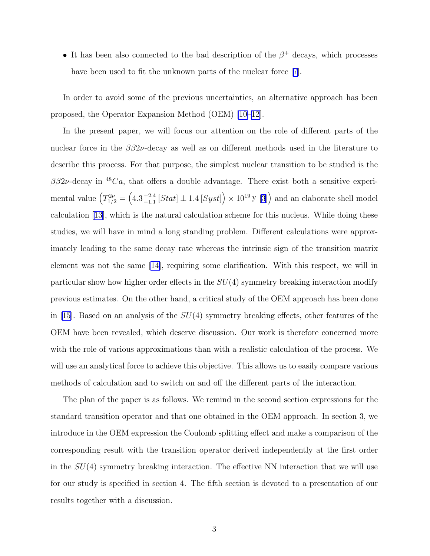• It has been also connected to the bad description of the  $\beta^+$  decays, which processes havebeen used to fit the unknown parts of the nuclear force [[7\]](#page-20-0).

In order to avoid some of the previous uncertainties, an alternative approach has been proposed, the Operator Expansion Method (OEM) [\[10](#page-20-0)–[12\]](#page-20-0).

In the present paper, we will focus our attention on the role of different parts of the nuclear force in the  $\beta\beta 2\nu$ -decay as well as on different methods used in the literature to describe this process. For that purpose, the simplest nuclear transition to be studied is the  $\beta\beta2\nu$ -decay in <sup>48</sup>Ca, that offers a double advantage. There exist both a sensitive experimental value  $(T_{1/2}^{2\nu} = (4.3^{+2.4}_{-1.1})$  $^{+2.4}_{-1.1}$  [*Stat*]  $\pm 1.4$  [*Syst*] $) \times 10^{19}$  y [[3](#page-20-0)] $)$  and an elaborate shell model calculation [\[13\]](#page-20-0), which is the natural calculation scheme for this nucleus. While doing these studies, we will have in mind a long standing problem. Different calculations were approximately leading to the same decay rate whereas the intrinsic sign of the transition matrix element was not the same[[14\]](#page-20-0), requiring some clarification. With this respect, we will in particular show how higher order effects in the  $SU(4)$  symmetry breaking interaction modify previous estimates. On the other hand, a critical study of the OEM approach has been done in[[15\]](#page-20-0). Based on an analysis of the  $SU(4)$  symmetry breaking effects, other features of the OEM have been revealed, which deserve discussion. Our work is therefore concerned more with the role of various approximations than with a realistic calculation of the process. We will use an analytical force to achieve this objective. This allows us to easily compare various methods of calculation and to switch on and off the different parts of the interaction.

The plan of the paper is as follows. We remind in the second section expressions for the standard transition operator and that one obtained in the OEM approach. In section 3, we introduce in the OEM expression the Coulomb splitting effect and make a comparison of the corresponding result with the transition operator derived independently at the first order in the  $SU(4)$  symmetry breaking interaction. The effective NN interaction that we will use for our study is specified in section 4. The fifth section is devoted to a presentation of our results together with a discussion.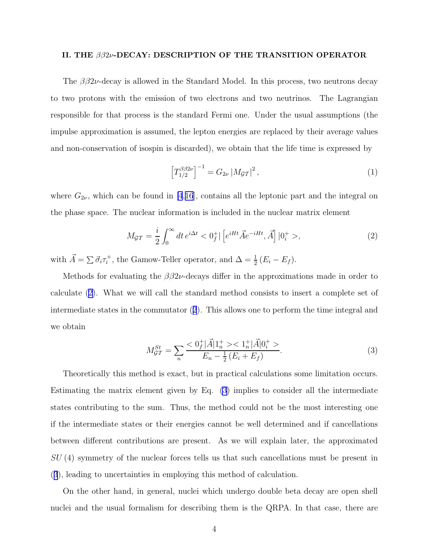### <span id="page-3-0"></span>II. THE ββ2ν-DECAY: DESCRIPTION OF THE TRANSITION OPERATOR

The  $\beta\beta 2\nu$ -decay is allowed in the Standard Model. In this process, two neutrons decay to two protons with the emission of two electrons and two neutrinos. The Lagrangian responsible for that process is the standard Fermi one. Under the usual assumptions (the impulse approximation is assumed, the lepton energies are replaced by their average values and non-conservation of isospin is discarded), we obtain that the life time is expressed by

$$
\left[T_{1/2}^{\beta\beta 2\nu}\right]^{-1} = G_{2\nu} \left|M_{\mathcal{GI}}\right|^2,\tag{1}
$$

where  $G_{2\nu}$ , which can be found in [\[4](#page-20-0),[16](#page-20-0)], contains all the leptonic part and the integral on the phase space. The nuclear information is included in the nuclear matrix element

$$
M_{\mathcal{GT}} = \frac{i}{2} \int_0^\infty dt \, e^{i\Delta t} < 0_f^+ \left[ \left[ e^{iHt} \vec{A} e^{-iHt}, \vec{A} \right] \left| 0_i^+ > \right. \right] \tag{2}
$$

with  $\vec{A} = \sum \vec{\sigma}_i \tau_i^+$ , the Gamow-Teller operator, and  $\Delta = \frac{1}{2} (E_i - E_f)$ .

Methods for evaluating the  $\beta\beta 2\nu$ -decays differ in the approximations made in order to calculate (2). What we will call the standard method consists to insert a complete set of intermediate states in the commutator (2). This allows one to perform the time integral and we obtain

$$
M_{\mathcal{GT}}^{St} = \sum_{n} \frac{1}{2} \frac{1}{2} \frac{|\vec{A}| \cdot 1 + 1}{E_n - \frac{1}{2} \cdot (E_i + E_f)}.
$$
\n(3)

Theoretically this method is exact, but in practical calculations some limitation occurs. Estimating the matrix element given by Eq. (3) implies to consider all the intermediate states contributing to the sum. Thus, the method could not be the most interesting one if the intermediate states or their energies cannot be well determined and if cancellations between different contributions are present. As we will explain later, the approximated SU (4) symmetry of the nuclear forces tells us that such cancellations must be present in (3), leading to uncertainties in employing this method of calculation.

On the other hand, in general, nuclei which undergo double beta decay are open shell nuclei and the usual formalism for describing them is the QRPA. In that case, there are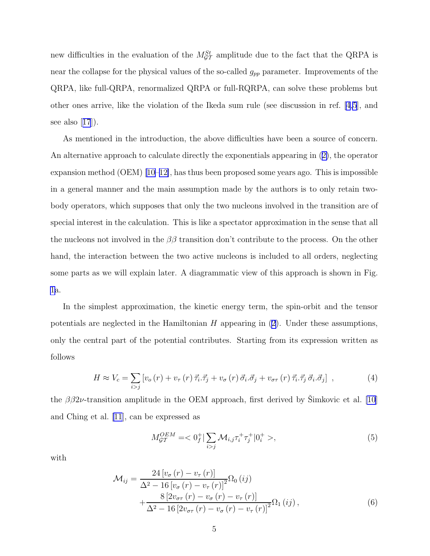<span id="page-4-0"></span>new difficulties in the evaluation of the  $M_{\mathcal{GT}}^{St}$  amplitude due to the fact that the QRPA is near the collapse for the physical values of the so-called  $g_{pp}$  parameter. Improvements of the QRPA, like full-QRPA, renormalized QRPA or full-RQRPA, can solve these problems but other ones arrive, like the violation of the Ikeda sum rule (see discussion in ref. [\[4,5](#page-20-0)], and seealso  $|17|$  $|17|$  $|17|$ ).

As mentioned in the introduction, the above difficulties have been a source of concern. An alternative approach to calculate directly the exponentials appearing in ([2\)](#page-3-0), the operator expansion method (OEM) [\[10–12\]](#page-20-0), has thus been proposed some years ago. This is impossible in a general manner and the main assumption made by the authors is to only retain twobody operators, which supposes that only the two nucleons involved in the transition are of special interest in the calculation. This is like a spectator approximation in the sense that all the nucleons not involved in the  $\beta\beta$  transition don't contribute to the process. On the other hand, the interaction between the two active nucleons is included to all orders, neglecting some parts as we will explain later. A diagrammatic view of this approach is shown in Fig. [1a](#page-24-0).

In the simplest approximation, the kinetic energy term, the spin-orbit and the tensor potentials are neglected in the Hamiltonian  $H$  appearing in  $(2)$ . Under these assumptions, only the central part of the potential contributes. Starting from its expression written as follows

$$
H \approx V_c = \sum_{i>j} \left[ v_o \left( r \right) + v_\tau \left( r \right) \vec{\tau}_i \cdot \vec{\tau}_j + v_\sigma \left( r \right) \vec{\sigma}_i \cdot \vec{\sigma}_j + v_{\sigma \tau} \left( r \right) \vec{\tau}_i \cdot \vec{\tau}_j \vec{\sigma}_i \cdot \vec{\sigma}_j \right] , \tag{4}
$$

the  $\beta\beta 2\nu$ -transition amplitude in the OEM approach, first derived by Simkovic et al. [\[10](#page-20-0)] and Ching et al. [\[11](#page-20-0)], can be expressed as

$$
M_{\mathcal{GT}}^{OEM} = \langle 0_f^+ | \sum_{i > j} \mathcal{M}_{i,j} \tau_i^+ \tau_j^+ | 0_i^+ > , \tag{5}
$$

with

$$
\mathcal{M}_{ij} = \frac{24 \left[v_{\sigma} \left(r\right) - v_{\tau} \left(r\right)\right]}{\Delta^2 - 16 \left[v_{\sigma} \left(r\right) - v_{\tau} \left(r\right)\right]^2} \Omega_0 \left(i j\right) + \frac{8 \left[2 v_{\sigma \tau} \left(r\right) - v_{\sigma} \left(r\right) - v_{\tau} \left(r\right)\right]}{\Delta^2 - 16 \left[2 v_{\sigma \tau} \left(r\right) - v_{\sigma} \left(r\right) - v_{\tau} \left(r\right)\right]^2} \Omega_1 \left(i j\right),\tag{6}
$$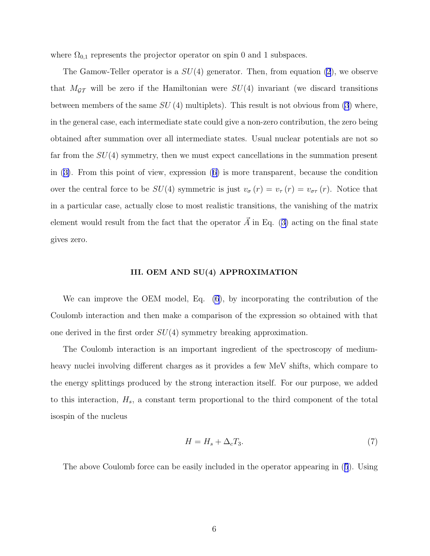<span id="page-5-0"></span>where  $\Omega_{0,1}$  represents the projector operator on spin 0 and 1 subspaces.

The Gamow-Teller operator is a  $SU(4)$  generator. Then, from equation [\(2](#page-3-0)), we observe that  $M_{\mathcal{GT}}$  will be zero if the Hamiltonian were  $SU(4)$  invariant (we discard transitions between members of the same  $SU(4)$  multiplets). This result is not obvious from [\(3](#page-3-0)) where, in the general case, each intermediate state could give a non-zero contribution, the zero being obtained after summation over all intermediate states. Usual nuclear potentials are not so far from the  $SU(4)$  symmetry, then we must expect cancellations in the summation present in ([3\)](#page-3-0). From this point of view, expression ([6\)](#page-4-0) is more transparent, because the condition over the central force to be  $SU(4)$  symmetric is just  $v_{\sigma}(r) = v_{\tau}(r) = v_{\sigma\tau}(r)$ . Notice that in a particular case, actually close to most realistic transitions, the vanishing of the matrix element would result from the fact that the operator  $\vec{A}$  in Eq. ([3\)](#page-3-0) acting on the final state gives zero.

#### III. OEM AND SU(4) APPROXIMATION

We can improve the OEM model, Eq. [\(6](#page-4-0)), by incorporating the contribution of the Coulomb interaction and then make a comparison of the expression so obtained with that one derived in the first order  $SU(4)$  symmetry breaking approximation.

The Coulomb interaction is an important ingredient of the spectroscopy of mediumheavy nuclei involving different charges as it provides a few MeV shifts, which compare to the energy splittings produced by the strong interaction itself. For our purpose, we added to this interaction,  $H_s$ , a constant term proportional to the third component of the total isospin of the nucleus

$$
H = H_s + \Delta_c T_3. \tag{7}
$$

The above Coulomb force can be easily included in the operator appearing in ([5](#page-4-0)). Using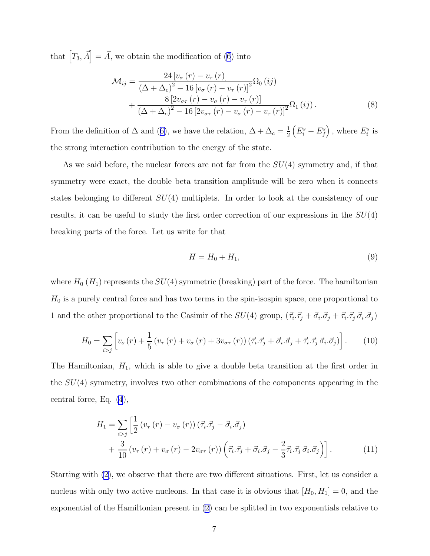that  $[T_3, \vec{A}] = \vec{A}$ , we obtain the modification of [\(6\)](#page-4-0) into

$$
\mathcal{M}_{ij} = \frac{24 \left[v_{\sigma} \left(r\right) - v_{\tau} \left(r\right)\right]}{\left(\Delta + \Delta_c\right)^2 - 16 \left[v_{\sigma} \left(r\right) - v_{\tau} \left(r\right)\right]^2} \Omega_0 \left(ij\right) + \frac{8 \left[2v_{\sigma\tau} \left(r\right) - v_{\sigma} \left(r\right) - v_{\tau} \left(r\right)\right]}{\left(\Delta + \Delta_c\right)^2 - 16 \left[2v_{\sigma\tau} \left(r\right) - v_{\sigma} \left(r\right) - v_{\tau} \left(r\right)\right]^2} \Omega_1 \left(ij\right).
$$
\n(8)

From the definition of  $\Delta$  and ([6\)](#page-4-0), we have the relation,  $\Delta + \Delta_c = \frac{1}{2}$ 2  $(E_i^s - E_f^s)$ , where  $E_i^s$  is the strong interaction contribution to the energy of the state.

As we said before, the nuclear forces are not far from the  $SU(4)$  symmetry and, if that symmetry were exact, the double beta transition amplitude will be zero when it connects states belonging to different SU(4) multiplets. In order to look at the consistency of our results, it can be useful to study the first order correction of our expressions in the  $SU(4)$ breaking parts of the force. Let us write for that

$$
H = H_0 + H_1,\tag{9}
$$

where  $H_0(H_1)$  represents the  $SU(4)$  symmetric (breaking) part of the force. The hamiltonian  $H_0$  is a purely central force and has two terms in the spin-isospin space, one proportional to 1 and the other proportional to the Casimir of the  $SU(4)$  group,  $(\vec{\tau}_i \cdot \vec{\tau}_j + \vec{\sigma}_i \cdot \vec{\sigma}_j + \vec{\tau}_i \cdot \vec{\tau}_j \vec{\sigma}_i \cdot \vec{\sigma}_j)$ 

$$
H_0 = \sum_{i>j} \left[ v_\sigma(r) + \frac{1}{5} \left( v_\tau(r) + v_\sigma(r) + 3v_{\sigma\tau}(r) \right) \left( \vec{\tau}_i \cdot \vec{\tau}_j + \vec{\sigma}_i \cdot \vec{\sigma}_j + \vec{\tau}_i \cdot \vec{\tau}_j \vec{\sigma}_i \cdot \vec{\sigma}_j \right) \right]. \tag{10}
$$

The Hamiltonian,  $H_1$ , which is able to give a double beta transition at the first order in the  $SU(4)$  symmetry, involves two other combinations of the components appearing in the central force, Eq. [\(4](#page-4-0)),

$$
H_1 = \sum_{i>j} \left[ \frac{1}{2} \left( v_\tau \left( r \right) - v_\sigma \left( r \right) \right) \left( \vec{\tau}_i \cdot \vec{\tau}_j - \vec{\sigma}_i \cdot \vec{\sigma}_j \right) + \frac{3}{10} \left( v_\tau \left( r \right) + v_\sigma \left( r \right) - 2v_{\sigma \tau} \left( r \right) \right) \left( \vec{\tau}_i \cdot \vec{\tau}_j + \vec{\sigma}_i \cdot \vec{\sigma}_j - \frac{2}{3} \vec{\tau}_i \cdot \vec{\tau}_j \vec{\sigma}_i \cdot \vec{\sigma}_j \right) \right]. \tag{11}
$$

Starting with [\(2](#page-3-0)), we observe that there are two different situations. First, let us consider a nucleus with only two active nucleons. In that case it is obvious that  $[H_0, H_1] = 0$ , and the exponential of the Hamiltonian present in [\(2](#page-3-0)) can be splitted in two exponentials relative to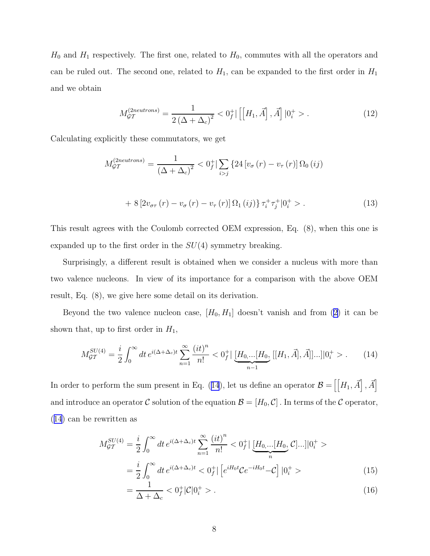<span id="page-7-0"></span> $H_0$  and  $H_1$  respectively. The first one, related to  $H_0$ , commutes with all the operators and can be ruled out. The second one, related to  $H_1$ , can be expanded to the first order in  $H_1$ and we obtain

$$
M_{\mathcal{GI}}^{(2neutrons)} = \frac{1}{2\left(\Delta + \Delta_c\right)^2} < 0_f^+ \left[ \left[ H_1, \vec{A} \right], \vec{A} \right] \left| 0_i^+ > . \right] \tag{12}
$$

Calculating explicitly these commutators, we get

$$
M_{\mathcal{GT}}^{(2neutrons)} = \frac{1}{\left(\Delta + \Delta_c\right)^2} < 0_f^+ \left| \sum_{i > j} \left\{ 24 \left[ v_\sigma \left( r \right) - v_\tau \left( r \right) \right] \Omega_0 \left( ij \right) \right.\right.
$$
\n
$$
+ 8 \left[ 2v_{\sigma\tau} \left( r \right) - v_\sigma \left( r \right) - v_\tau \left( r \right) \right] \Omega_1 \left( ij \right) \right\} \tau_i^+ \tau_j^+ \left| 0_i^+ > . \tag{13}
$$

This result agrees with the Coulomb corrected OEM expression, Eq. (8), when this one is expanded up to the first order in the  $SU(4)$  symmetry breaking.

Surprisingly, a different result is obtained when we consider a nucleus with more than two valence nucleons. In view of its importance for a comparison with the above OEM result, Eq. (8), we give here some detail on its derivation.

Beyond the two valence nucleon case,  $[H_0, H_1]$  doesn't vanish and from [\(2\)](#page-3-0) it can be shown that, up to first order in  $H_1$ ,

$$
M_{\mathcal{GT}}^{SU(4)} = \frac{i}{2} \int_0^\infty dt \, e^{i(\Delta + \Delta_c)t} \sum_{n=1}^\infty \frac{(it)^n}{n!} < 0_f^+ \left[ \underbrace{[H_0, \dots [H_0]}_{n-1} [[H_1, \vec{A}], \vec{A}]] \dots ] | 0_i^+ > . \right] \tag{14}
$$

In order to perform the sum present in Eq. (14), let us define an operator  $\mathcal{B} = \left[ \left[ H_1, \vec{A} \right], \vec{A} \right]$ and introduce an operator C solution of the equation  $\mathcal{B} = [H_0, C]$ . In terms of the C operator, (14) can be rewritten as

$$
M_{\mathcal{GT}}^{SU(4)} = \frac{i}{2} \int_0^\infty dt \, e^{i(\Delta + \Delta_c)t} \sum_{n=1}^\infty \frac{(it)^n}{n!} < 0_f^+ \left[ \underbrace{H_{0,\dots}[H_0}_{n}, \mathcal{C}]\dots \right] | 0_i^+ > \\ = \frac{i}{2} \int_0^\infty dt \, e^{i(\Delta + \Delta_c)t} < 0_f^+ \left[ e^{iH_0t} \mathcal{C} e^{-iH_0t} - \mathcal{C} \right] | 0_i^+ > \tag{15}
$$

$$
=\frac{1}{\Delta+\Delta_c} < 0_f^+|\mathcal{C}|0_i^+ > . \tag{16}
$$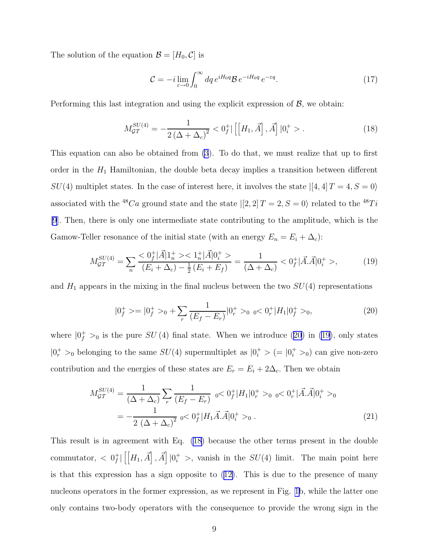<span id="page-8-0"></span>The solution of the equation  $\mathcal{B} = [H_0, C]$  is

$$
\mathcal{C} = -i \lim_{\varepsilon \to 0} \int_0^\infty dq \, e^{iH_0 q} \mathcal{B} \, e^{-iH_0 q} \, e^{-\varepsilon q} . \tag{17}
$$

Performing this last integration and using the explicit expression of  $\mathcal{B}$ , we obtain:

$$
M_{\mathcal{GI}}^{SU(4)} = -\frac{1}{2\left(\Delta + \Delta_c\right)^2} < 0_f^+ \left[ \left[ H_1, \vec{A} \right], \vec{A} \right] \left| 0_i^+ > . \right] \tag{18}
$$

This equation can also be obtained from [\(3](#page-3-0)). To do that, we must realize that up to first order in the  $H_1$  Hamiltonian, the double beta decay implies a transition between different  $SU(4)$  multiplet states. In the case of interest here, it involves the state  $|[4,4] \, T=4, S=0 \rangle$ associated with the  ${}^{48}Ca$  ground state and the state  $|[2,2]\,T=2, S=0\rangle$  related to the  ${}^{48}Ti$ [\[9](#page-20-0)]. Then, there is only one intermediate state contributing to the amplitude, which is the Gamow-Teller resonance of the initial state (with an energy  $E_n = E_i + \Delta_c$ ):

$$
M_{\mathcal{GT}}^{SU(4)} = \sum_{n} \frac{<0_f^+ |\vec{A}| 1_n^+ > <1_n^+ |\vec{A}| 0_i^+ >}{(E_i + \Delta_c) - \frac{1}{2} (E_i + E_f)} = \frac{1}{(\Delta + \Delta_c)} <0_f^+ |\vec{A} \cdot \vec{A}| 0_i^+ >,
$$
(19)

and  $H_1$  appears in the mixing in the final nucleus between the two  $SU(4)$  representations

$$
|0_f^+ \rangle = |0_f^+ \rangle_0 + \sum_r \frac{1}{(E_f - E_r)}|0_r^+ \rangle_0 \quad \text{or} \quad 0_r^+|H_1|0_f^+ \rangle_0,\tag{20}
$$

where  $|0_f^+|>0$  is the pure  $SU(4)$  final state. When we introduce (20) in (19), only states  $|0_r^+|>0$  belonging to the same  $SU(4)$  supermultiplet as  $|0_i^+|>$   $(= |0_i^+|>0)$  can give non-zero contribution and the energies of these states are  $E_r = E_i + 2\Delta_c$ . Then we obtain

$$
M_{\mathcal{GT}}^{SU(4)} = \frac{1}{(\Delta + \Delta_c)} \sum_r \frac{1}{(E_f - E_r)} \quad \text{or} \quad 0_f^+ |H_1| 0_r^+ >_0 \quad \text{or} \quad 0_r^+ | \vec{A} . \vec{A} | 0_i^+ >_0
$$
\n
$$
= -\frac{1}{2(\Delta + \Delta_c)^2} \quad \text{or} \quad 0_f^+ |H_1 \vec{A} . \vec{A} | 0_i^+ >_0 \,. \tag{21}
$$

This result is in agreement with Eq. (18) because the other terms present in the double commutator,  $\langle 0|_f^+$  $f \in [H_1, \vec{A}]$ ,  $\vec{A}$  |  $0_i^+ >$ , vanish in the  $SU(4)$  limit. The main point here is that this expression has a sign opposite to ([12\)](#page-7-0). This is due to the presence of many nucleons operators in the former expression, as we represent in Fig. [1b](#page-24-0), while the latter one only contains two-body operators with the consequence to provide the wrong sign in the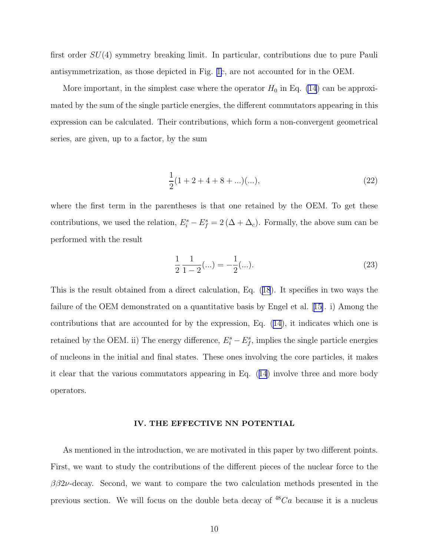first order SU(4) symmetry breaking limit. In particular, contributions due to pure Pauli antisymmetrization, as those depicted in Fig. [1c](#page-24-0), are not accounted for in the OEM.

More important, in the simplest case where the operator  $H_0$  in Eq. [\(14](#page-7-0)) can be approximated by the sum of the single particle energies, the different commutators appearing in this expression can be calculated. Their contributions, which form a non-convergent geometrical series, are given, up to a factor, by the sum

$$
\frac{1}{2}(1+2+4+8+\ldots)(\ldots),\tag{22}
$$

where the first term in the parentheses is that one retained by the OEM. To get these contributions, we used the relation,  $E_i^s - E_f^s = 2(\Delta + \Delta_c)$ . Formally, the above sum can be performed with the result

$$
\frac{1}{2} \frac{1}{1 - 2} (\dots) = -\frac{1}{2} (\dots). \tag{23}
$$

This is the result obtained from a direct calculation, Eq. ([18](#page-8-0)). It specifies in two ways the failure of the OEM demonstrated on a quantitative basis by Engel et al.[[15\]](#page-20-0). i) Among the contributions that are accounted for by the expression, Eq. [\(14\)](#page-7-0), it indicates which one is retained by the OEM. ii) The energy difference,  $E_i^s - E_f^s$ , implies the single particle energies of nucleons in the initial and final states. These ones involving the core particles, it makes it clear that the various commutators appearing in Eq. ([14](#page-7-0)) involve three and more body operators.

#### IV. THE EFFECTIVE NN POTENTIAL

As mentioned in the introduction, we are motivated in this paper by two different points. First, we want to study the contributions of the different pieces of the nuclear force to the  $\beta\beta 2\nu$ -decay. Second, we want to compare the two calculation methods presented in the previous section. We will focus on the double beta decay of  ${}^{48}Ca$  because it is a nucleus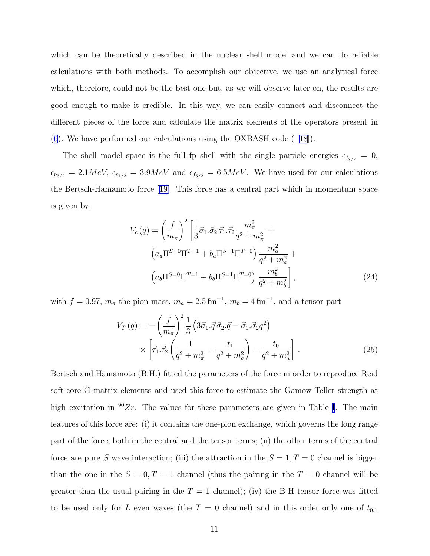which can be theoretically described in the nuclear shell model and we can do reliable calculations with both methods. To accomplish our objective, we use an analytical force which, therefore, could not be the best one but, as we will observe later on, the results are good enough to make it credible. In this way, we can easily connect and disconnect the different pieces of the force and calculate the matrix elements of the operators present in ([6](#page-4-0)). We have performed our calculations using the OXBASH code ( [\[18](#page-21-0)]).

The shell model space is the full fp shell with the single particle energies  $\epsilon_{f7/2} = 0$ ,  $\epsilon_{p_{3/2}} = 2.1 MeV$ ,  $\epsilon_{p_{1/2}} = 3.9 MeV$  and  $\epsilon_{f_{5/2}} = 6.5 MeV$ . We have used for our calculations the Bertsch-Hamamoto force[[19\]](#page-21-0). This force has a central part which in momentum space is given by:

$$
V_c(q) = \left(\frac{f}{m_\pi}\right)^2 \left[\frac{1}{3}\vec{\sigma}_1.\vec{\sigma}_2 \, \vec{\tau}_1.\vec{\tau}_2 \frac{m_\pi^2}{q^2 + m_\pi^2} + \left(a_a \Pi^{S=0} \Pi^{T=1} + b_a \Pi^{S=1} \Pi^{T=0}\right) \frac{m_a^2}{q^2 + m_a^2} + \left(a_b \Pi^{S=0} \Pi^{T=1} + b_b \Pi^{S=1} \Pi^{T=0}\right) \frac{m_b^2}{q^2 + m_b^2}\right],
$$
\n(24)

with  $f = 0.97$ ,  $m_{\pi}$  the pion mass,  $m_a = 2.5 \,\text{fm}^{-1}$ ,  $m_b = 4 \,\text{fm}^{-1}$ , and a tensor part

$$
V_T(q) = -\left(\frac{f}{m_\pi}\right)^2 \frac{1}{3} \left(3\vec{\sigma}_1 \cdot \vec{q} \cdot \vec{\sigma}_2 \cdot \vec{q} - \vec{\sigma}_1 \cdot \vec{\sigma}_2 q^2\right) \times \left[\vec{\tau}_1 \cdot \vec{\tau}_2 \left(\frac{1}{q^2 + m_\pi^2} - \frac{t_1}{q^2 + m_a^2}\right) - \frac{t_0}{q^2 + m_a^2}\right].
$$
\n(25)

Bertsch and Hamamoto (B.H.) fitted the parameters of the force in order to reproduce Reid soft-core G matrix elements and used this force to estimate the Gamow-Teller strength at high excitation in  $90Zr$ . The values for these parameters are given in Table [I](#page-22-0). The main features of this force are: (i) it contains the one-pion exchange, which governs the long range part of the force, both in the central and the tensor terms; (ii) the other terms of the central force are pure S wave interaction; (iii) the attraction in the  $S = 1, T = 0$  channel is bigger than the one in the  $S = 0, T = 1$  channel (thus the pairing in the  $T = 0$  channel will be greater than the usual pairing in the  $T = 1$  channel); (iv) the B-H tensor force was fitted to be used only for L even waves (the  $T = 0$  channel) and in this order only one of  $t_{0,1}$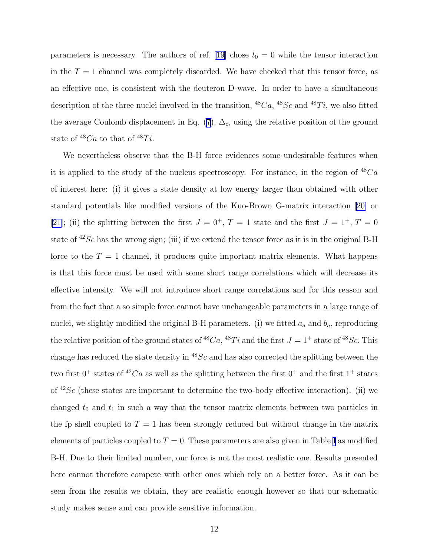parameters is necessary. The authors of ref. [\[19\]](#page-21-0) chose  $t_0 = 0$  while the tensor interaction in the  $T = 1$  channel was completely discarded. We have checked that this tensor force, as an effective one, is consistent with the deuteron D-wave. In order to have a simultaneous description of the three nuclei involved in the transition,  ${}^{48}Ca$ ,  ${}^{48}Sc$  and  ${}^{48}Ti$ , we also fitted the average Coulomb displacement in Eq. [\(7](#page-5-0)),  $\Delta_c$ , using the relative position of the ground state of  $^{48}Ca$  to that of  $^{48}Ti$ .

We nevertheless observe that the B-H force evidences some undesirable features when it is applied to the study of the nucleus spectroscopy. For instance, in the region of  $^{48}Ca$ of interest here: (i) it gives a state density at low energy larger than obtained with other standard potentials like modified versions of the Kuo-Brown G-matrix interaction[[20\]](#page-21-0) or [\[21](#page-21-0)]; (ii) the splitting between the first  $J = 0^+, T = 1$  state and the first  $J = 1^+, T = 0$ state of  $42Sc$  has the wrong sign; (iii) if we extend the tensor force as it is in the original B-H force to the  $T = 1$  channel, it produces quite important matrix elements. What happens is that this force must be used with some short range correlations which will decrease its effective intensity. We will not introduce short range correlations and for this reason and from the fact that a so simple force cannot have unchangeable parameters in a large range of nuclei, we slightly modified the original B-H parameters. (i) we fitted  $a_a$  and  $b_a$ , reproducing the relative position of the ground states of <sup>48</sup>Ca, <sup>48</sup>Ti and the first  $J = 1^+$  state of <sup>48</sup>Sc. This change has reduced the state density in  $^{48}Sc$  and has also corrected the splitting between the two first  $0^+$  states of  ${}^{42}Ca$  as well as the splitting between the first  $0^+$  and the first  $1^+$  states of  $42Sc$  (these states are important to determine the two-body effective interaction). (ii) we changed  $t_0$  and  $t_1$  in such a way that the tensor matrix elements between two particles in the fp shell coupled to  $T = 1$  has been strongly reduced but without change in the matrix elements of particles coupled to  $T = 0$ . These parameters are also given in Table [I](#page-22-0) as modified B-H. Due to their limited number, our force is not the most realistic one. Results presented here cannot therefore compete with other ones which rely on a better force. As it can be seen from the results we obtain, they are realistic enough however so that our schematic study makes sense and can provide sensitive information.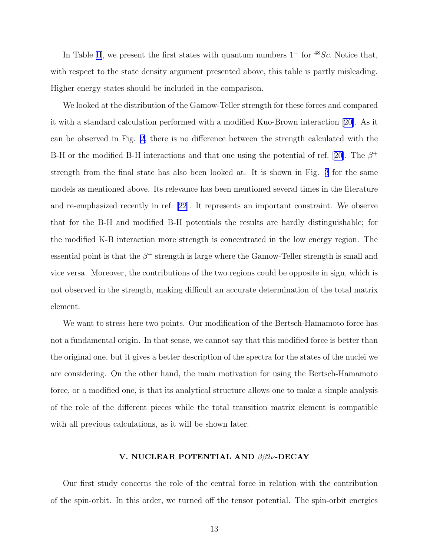In Table [II](#page-22-0), we present the first states with quantum numbers  $1^+$  for  $48Sc$ . Notice that, with respect to the state density argument presented above, this table is partly misleading. Higher energy states should be included in the comparison.

We looked at the distribution of the Gamow-Teller strength for these forces and compared it with a standard calculation performed with a modified Kuo-Brown interaction [\[20\]](#page-21-0). As it can be observed in Fig. [2,](#page-25-0) there is no difference between the strength calculated with the B-Hor the modified B-H interactions and that one using the potential of ref. [[20\]](#page-21-0). The  $\beta^+$ strength from the final state has also been looked at. It is shown in Fig. [3](#page-26-0) for the same models as mentioned above. Its relevance has been mentioned several times in the literature and re-emphasized recently in ref. [\[22](#page-21-0)]. It represents an important constraint. We observe that for the B-H and modified B-H potentials the results are hardly distinguishable; for the modified K-B interaction more strength is concentrated in the low energy region. The essential point is that the  $\beta^+$  strength is large where the Gamow-Teller strength is small and vice versa. Moreover, the contributions of the two regions could be opposite in sign, which is not observed in the strength, making difficult an accurate determination of the total matrix element.

We want to stress here two points. Our modification of the Bertsch-Hamamoto force has not a fundamental origin. In that sense, we cannot say that this modified force is better than the original one, but it gives a better description of the spectra for the states of the nuclei we are considering. On the other hand, the main motivation for using the Bertsch-Hamamoto force, or a modified one, is that its analytical structure allows one to make a simple analysis of the role of the different pieces while the total transition matrix element is compatible with all previous calculations, as it will be shown later.

### V. NUCLEAR POTENTIAL AND ββ2ν-DECAY

Our first study concerns the role of the central force in relation with the contribution of the spin-orbit. In this order, we turned off the tensor potential. The spin-orbit energies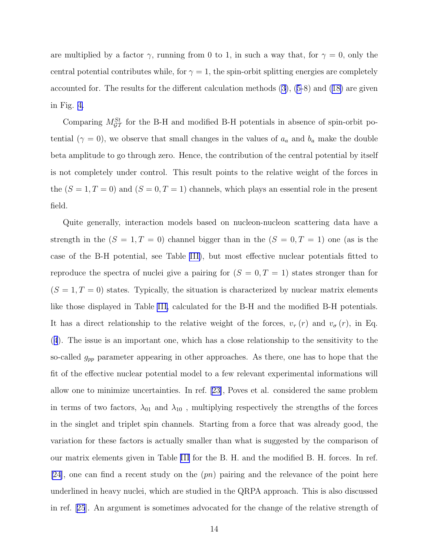are multiplied by a factor  $\gamma$ , running from 0 to 1, in such a way that, for  $\gamma = 0$ , only the central potential contributes while, for  $\gamma = 1$ , the spin-orbit splitting energies are completely accounted for. The results for the different calculation methods  $(3)$  $(3)$ ,  $(5-8)$  $(5-8)$  $(5-8)$  and  $(18)$  are given in Fig. [4.](#page-27-0)

Comparing  $M_{\mathcal{GT}}^{St}$  for the B-H and modified B-H potentials in absence of spin-orbit potential ( $\gamma = 0$ ), we observe that small changes in the values of  $a_a$  and  $b_a$  make the double beta amplitude to go through zero. Hence, the contribution of the central potential by itself is not completely under control. This result points to the relative weight of the forces in the  $(S = 1, T = 0)$  and  $(S = 0, T = 1)$  channels, which plays an essential role in the present field.

Quite generally, interaction models based on nucleon-nucleon scattering data have a strength in the  $(S = 1, T = 0)$  channel bigger than in the  $(S = 0, T = 1)$  one (as is the case of the B-H potential, see Table [III\)](#page-22-0), but most effective nuclear potentials fitted to reproduce the spectra of nuclei give a pairing for  $(S = 0, T = 1)$  states stronger than for  $(S = 1, T = 0)$  states. Typically, the situation is characterized by nuclear matrix elements like those displayed in Table [III,](#page-22-0) calculated for the B-H and the modified B-H potentials. It has a direct relationship to the relative weight of the forces,  $v_{\tau}(r)$  and  $v_{\sigma}(r)$ , in Eq. ([4](#page-4-0)). The issue is an important one, which has a close relationship to the sensitivity to the so-called  $g_{pp}$  parameter appearing in other approaches. As there, one has to hope that the fit of the effective nuclear potential model to a few relevant experimental informations will allow one to minimize uncertainties. In ref. [\[23\]](#page-21-0), Poves et al. considered the same problem in terms of two factors,  $\lambda_{01}$  and  $\lambda_{10}$ , multiplying respectively the strengths of the forces in the singlet and triplet spin channels. Starting from a force that was already good, the variation for these factors is actually smaller than what is suggested by the comparison of our matrix elements given in Table [III](#page-22-0) for the B. H. and the modified B. H. forces. In ref. [\[24](#page-21-0)], one can find a recent study on the  $(pn)$  pairing and the relevance of the point here underlined in heavy nuclei, which are studied in the QRPA approach. This is also discussed in ref.[[25](#page-21-0)]. An argument is sometimes advocated for the change of the relative strength of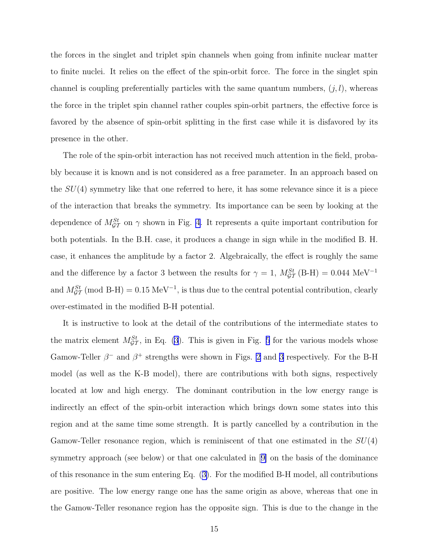the forces in the singlet and triplet spin channels when going from infinite nuclear matter to finite nuclei. It relies on the effect of the spin-orbit force. The force in the singlet spin channel is coupling preferentially particles with the same quantum numbers,  $(j, l)$ , whereas the force in the triplet spin channel rather couples spin-orbit partners, the effective force is favored by the absence of spin-orbit splitting in the first case while it is disfavored by its presence in the other.

The role of the spin-orbit interaction has not received much attention in the field, probably because it is known and is not considered as a free parameter. In an approach based on the  $SU(4)$  symmetry like that one referred to here, it has some relevance since it is a piece of the interaction that breaks the symmetry. Its importance can be seen by looking at the dependence of  $M_{\mathcal{GT}}^{St}$  on  $\gamma$  shown in Fig. [4](#page-27-0). It represents a quite important contribution for both potentials. In the B.H. case, it produces a change in sign while in the modified B. H. case, it enhances the amplitude by a factor 2. Algebraically, the effect is roughly the same and the difference by a factor 3 between the results for  $\gamma = 1$ ,  $M_{\mathcal{GT}}^{St}$  (B-H) = 0.044 MeV<sup>-1</sup> and  $M_{\mathcal{GT}}^{St}$  (mod B-H) = 0.15 MeV<sup>-1</sup>, is thus due to the central potential contribution, clearly over-estimated in the modified B-H potential.

It is instructive to look at the detail of the contributions of the intermediate states to the matrix element  $M_{\mathcal{GT}}^{St}$ , in Eq. [\(3](#page-3-0)). This is given in Fig. [5](#page-28-0) for the various models whose Gamow-Teller  $\beta^-$  and  $\beta^+$  strengths were shown in Figs. [2](#page-25-0) and [3](#page-26-0) respectively. For the B-H model (as well as the K-B model), there are contributions with both signs, respectively located at low and high energy. The dominant contribution in the low energy range is indirectly an effect of the spin-orbit interaction which brings down some states into this region and at the same time some strength. It is partly cancelled by a contribution in the Gamow-Teller resonance region, which is reminiscent of that one estimated in the  $SU(4)$ symmetry approach (see below) or that one calculated in[[9\]](#page-20-0) on the basis of the dominance of this resonance in the sum entering Eq. ([3\)](#page-3-0). For the modified B-H model, all contributions are positive. The low energy range one has the same origin as above, whereas that one in the Gamow-Teller resonance region has the opposite sign. This is due to the change in the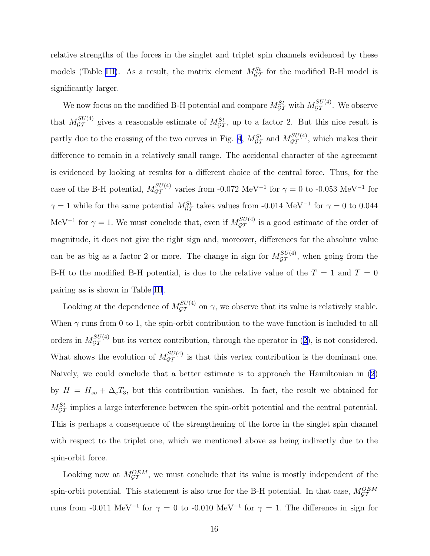relative strengths of the forces in the singlet and triplet spin channels evidenced by these models (Table [III\)](#page-22-0). As a result, the matrix element  $M_{\mathcal{GT}}^{St}$  for the modified B-H model is significantly larger.

We now focus on the modified B-H potential and compare  $M_{\mathcal{GT}}^{St}$  with  $M_{\mathcal{GT}}^{SU(4)}$ . We observe that  $M_{\mathcal{GT}}^{SU(4)}$  gives a reasonable estimate of  $M_{\mathcal{GT}}^{St}$ , up to a factor 2. But this nice result is partly due to the crossing of the two curves in Fig. [4](#page-27-0),  $M_{\mathcal{GT}}^{St}$  and  $M_{\mathcal{GT}}^{SU(4)}$ , which makes their difference to remain in a relatively small range. The accidental character of the agreement is evidenced by looking at results for a different choice of the central force. Thus, for the case of the B-H potential,  $M_{\mathcal{GT}}^{SU(4)}$  varies from -0.072 MeV<sup>-1</sup> for  $\gamma = 0$  to -0.053 MeV<sup>-1</sup> for  $\gamma = 1$  while for the same potential  $M_{\mathcal{GT}}^{St}$  takes values from -0.014 MeV<sup>-1</sup> for  $\gamma = 0$  to 0.044 MeV<sup>-1</sup> for  $\gamma = 1$ . We must conclude that, even if  $M_{\mathcal{GT}}^{SU(4)}$  is a good estimate of the order of magnitude, it does not give the right sign and, moreover, differences for the absolute value can be as big as a factor 2 or more. The change in sign for  $M_{\mathcal{GT}}^{SU(4)}$ , when going from the B-H to the modified B-H potential, is due to the relative value of the  $T = 1$  and  $T = 0$ pairing as is shown in Table [III](#page-22-0).

Looking at the dependence of  $M_{\mathcal{GT}}^{SU(4)}$  on  $\gamma$ , we observe that its value is relatively stable. When  $\gamma$  runs from 0 to 1, the spin-orbit contribution to the wave function is included to all orders in  $M_{\mathcal{GT}}^{SU(4)}$  but its vertex contribution, through the operator in ([2\)](#page-3-0), is not considered. What shows the evolution of  $M_{\mathcal{GT}}^{SU(4)}$  is that this vertex contribution is the dominant one. Naively, we could conclude that a better estimate is to approach the Hamiltonian in ([2\)](#page-3-0) by  $H = H_{so} + \Delta_c T_3$ , but this contribution vanishes. In fact, the result we obtained for  $M_{\mathcal{GT}}^{St}$  implies a large interference between the spin-orbit potential and the central potential. This is perhaps a consequence of the strengthening of the force in the singlet spin channel with respect to the triplet one, which we mentioned above as being indirectly due to the spin-orbit force.

Looking now at  $M_{\mathcal{GT}}^{OEM}$ , we must conclude that its value is mostly independent of the spin-orbit potential. This statement is also true for the B-H potential. In that case,  $M_{\mathcal{GT}}^{OEM}$ runs from -0.011 MeV<sup>-1</sup> for  $\gamma = 0$  to -0.010 MeV<sup>-1</sup> for  $\gamma = 1$ . The difference in sign for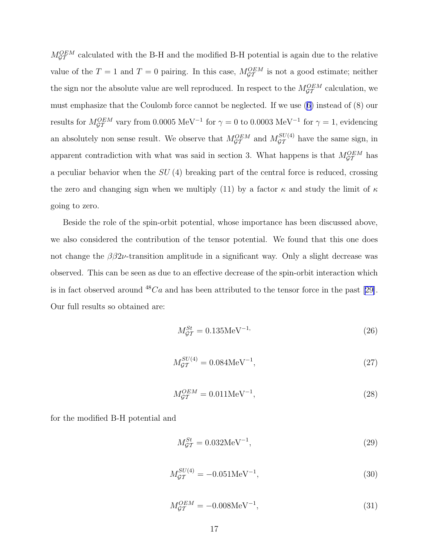$M_{\mathcal{GT}}^{OEM}$  calculated with the B-H and the modified B-H potential is again due to the relative value of the  $T = 1$  and  $T = 0$  pairing. In this case,  $M_{\mathcal{GT}}^{OEM}$  is not a good estimate; neither the sign nor the absolute value are well reproduced. In respect to the  $M_{\mathcal{GT}}^{OEM}$  calculation, we must emphasize that the Coulomb force cannot be neglected. If we use [\(6\)](#page-4-0) instead of (8) our results for  $M_{\mathcal{GT}}^{OEM}$  vary from 0.0005 MeV<sup>-1</sup> for  $\gamma = 0$  to 0.0003 MeV<sup>-1</sup> for  $\gamma = 1$ , evidencing an absolutely non sense result. We observe that  $M_{\mathcal{GT}}^{OEM}$  and  $M_{\mathcal{GT}}^{SU(4)}$  have the same sign, in apparent contradiction with what was said in section 3. What happens is that  $M_{\mathcal{GT}}^{OEM}$  has a peculiar behavior when the  $SU(4)$  breaking part of the central force is reduced, crossing the zero and changing sign when we multiply (11) by a factor  $\kappa$  and study the limit of  $\kappa$ going to zero.

Beside the role of the spin-orbit potential, whose importance has been discussed above, we also considered the contribution of the tensor potential. We found that this one does not change the  $\beta\beta 2\nu$ -transition amplitude in a significant way. Only a slight decrease was observed. This can be seen as due to an effective decrease of the spin-orbit interaction which is in fact observed around  $48Ca$  and has been attributed to the tensor force in the past [\[29\]](#page-21-0). Our full results so obtained are:

$$
M_{\mathcal{GT}}^{St} = 0.135 \text{MeV}^{-1},\tag{26}
$$

$$
M_{\mathcal{GT}}^{SU(4)} = 0.084 \text{MeV}^{-1},\tag{27}
$$

$$
M_{\mathcal{GT}}^{OEM} = 0.011 \text{MeV}^{-1},\tag{28}
$$

for the modified B-H potential and

$$
M_{\mathcal{GT}}^{St} = 0.032 \text{MeV}^{-1},\tag{29}
$$

$$
M_{\mathcal{GT}}^{SU(4)} = -0.051 \text{MeV}^{-1},\tag{30}
$$

$$
M_{\mathcal{GT}}^{OEM} = -0.008 \text{MeV}^{-1},\tag{31}
$$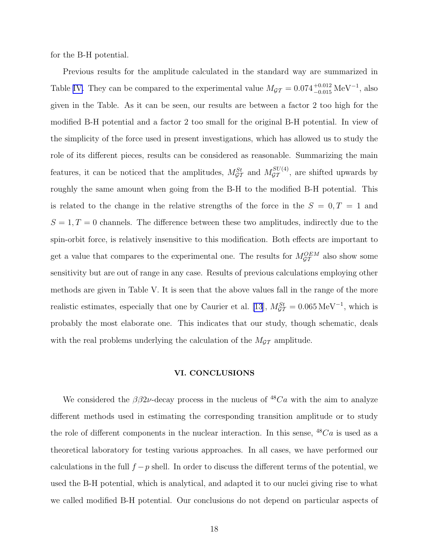for the B-H potential.

Previous results for the amplitude calculated in the standard way are summarized in Table [IV.](#page-23-0) They can be compared to the experimental value  $M_{\mathcal{GT}} = 0.074_{-0.015}^{+0.012} \text{ MeV}^{-1}$ , also given in the Table. As it can be seen, our results are between a factor 2 too high for the modified B-H potential and a factor 2 too small for the original B-H potential. In view of the simplicity of the force used in present investigations, which has allowed us to study the role of its different pieces, results can be considered as reasonable. Summarizing the main features, it can be noticed that the amplitudes,  $M_{\mathcal{GT}}^{St}$  and  $M_{\mathcal{GT}}^{SU(4)}$ , are shifted upwards by roughly the same amount when going from the B-H to the modified B-H potential. This is related to the change in the relative strengths of the force in the  $S = 0, T = 1$  and  $S = 1, T = 0$  channels. The difference between these two amplitudes, indirectly due to the spin-orbit force, is relatively insensitive to this modification. Both effects are important to get a value that compares to the experimental one. The results for  $M_{\mathcal{GT}}^{OEM}$  also show some sensitivity but are out of range in any case. Results of previous calculations employing other methods are given in Table V. It is seen that the above values fall in the range of the more realistic estimates, especially that one by Caurier et al. [\[13](#page-20-0)],  $M_{\mathcal{GT}}^{St} = 0.065 \,\text{MeV}^{-1}$ , which is probably the most elaborate one. This indicates that our study, though schematic, deals with the real problems underlying the calculation of the  $M_{GT}$  amplitude.

### VI. CONCLUSIONS

We considered the  $\beta\beta 2\nu$ -decay process in the nucleus of <sup>48</sup>Ca with the aim to analyze different methods used in estimating the corresponding transition amplitude or to study the role of different components in the nuclear interaction. In this sense,  $^{48}Ca$  is used as a theoretical laboratory for testing various approaches. In all cases, we have performed our calculations in the full  $f - p$  shell. In order to discuss the different terms of the potential, we used the B-H potential, which is analytical, and adapted it to our nuclei giving rise to what we called modified B-H potential. Our conclusions do not depend on particular aspects of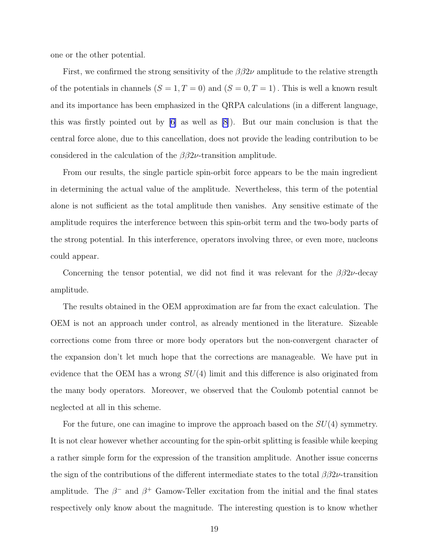one or the other potential.

First, we confirmed the strong sensitivity of the  $\beta\beta 2\nu$  amplitude to the relative strength of the potentials in channels  $(S = 1, T = 0)$  and  $(S = 0, T = 1)$ . This is well a known result and its importance has been emphasized in the QRPA calculations (in a different language, this was firstly pointed out by [\[6](#page-20-0)] as well as [\[8](#page-20-0)]). But our main conclusion is that the central force alone, due to this cancellation, does not provide the leading contribution to be considered in the calculation of the  $\beta\beta 2\nu$ -transition amplitude.

From our results, the single particle spin-orbit force appears to be the main ingredient in determining the actual value of the amplitude. Nevertheless, this term of the potential alone is not sufficient as the total amplitude then vanishes. Any sensitive estimate of the amplitude requires the interference between this spin-orbit term and the two-body parts of the strong potential. In this interference, operators involving three, or even more, nucleons could appear.

Concerning the tensor potential, we did not find it was relevant for the  $\beta\beta 2\nu$ -decay amplitude.

The results obtained in the OEM approximation are far from the exact calculation. The OEM is not an approach under control, as already mentioned in the literature. Sizeable corrections come from three or more body operators but the non-convergent character of the expansion don't let much hope that the corrections are manageable. We have put in evidence that the OEM has a wrong  $SU(4)$  limit and this difference is also originated from the many body operators. Moreover, we observed that the Coulomb potential cannot be neglected at all in this scheme.

For the future, one can imagine to improve the approach based on the  $SU(4)$  symmetry. It is not clear however whether accounting for the spin-orbit splitting is feasible while keeping a rather simple form for the expression of the transition amplitude. Another issue concerns the sign of the contributions of the different intermediate states to the total  $\beta\beta 2\nu$ -transition amplitude. The  $\beta^-$  and  $\beta^+$  Gamow-Teller excitation from the initial and the final states respectively only know about the magnitude. The interesting question is to know whether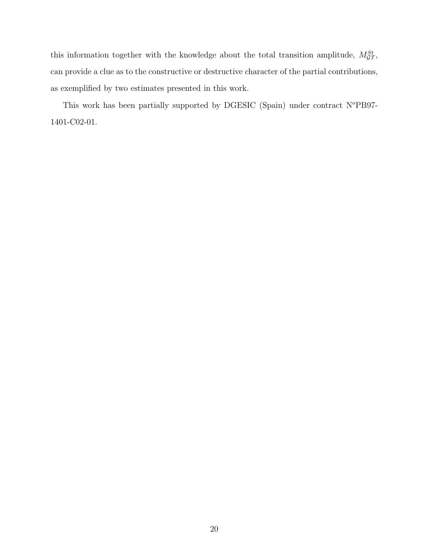this information together with the knowledge about the total transition amplitude,  $M_{\mathcal{GT}}^{St}$ , can provide a clue as to the constructive or destructive character of the partial contributions, as exemplified by two estimates presented in this work.

This work has been partially supported by DGESIC (Spain) under contract  $N^o$ PB97-1401-C02-01.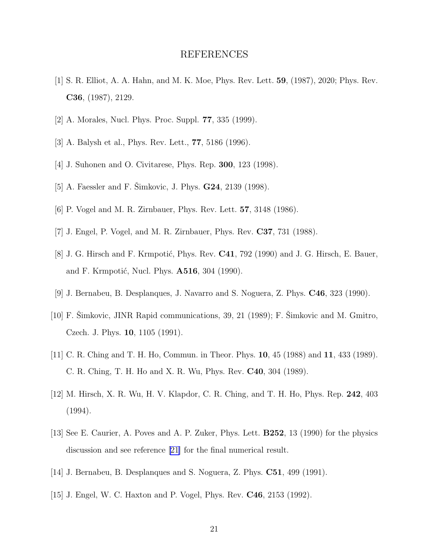## REFERENCES

- <span id="page-20-0"></span>[1] S. R. Elliot, A. A. Hahn, and M. K. Moe, Phys. Rev. Lett. 59, (1987), 2020; Phys. Rev. C36, (1987), 2129.
- [2] A. Morales, Nucl. Phys. Proc. Suppl. 77, 335 (1999).
- [3] A. Balysh et al., Phys. Rev. Lett., 77, 5186 (1996).
- [4] J. Suhonen and O. Civitarese, Phys. Rep. 300, 123 (1998).
- [5] A. Faessler and F. Šimkovic, J. Phys.  **(1998).**
- [6] P. Vogel and M. R. Zirnbauer, Phys. Rev. Lett. 57, 3148 (1986).
- [7] J. Engel, P. Vogel, and M. R. Zirnbauer, Phys. Rev. C37, 731 (1988).
- [8] J. G. Hirsch and F. Krmpotić, Phys. Rev.  $C41$ , 792 (1990) and J. G. Hirsch, E. Bauer, and F. Krmpotić, Nucl. Phys. **A516**, 304 (1990).
- [9] J. Bernabeu, B. Desplanques, J. Navarro and S. Noguera, Z. Phys. C46, 323 (1990).
- $[10]$  F. Simkovic, JINR Rapid communications, 39, 21 (1989); F. Simkovic and M. Gmitro, Czech. J. Phys. 10, 1105 (1991).
- [11] C. R. Ching and T. H. Ho, Commun. in Theor. Phys. **10**, 45 (1988) and **11**, 433 (1989). C. R. Ching, T. H. Ho and X. R. Wu, Phys. Rev. C40, 304 (1989).
- [12] M. Hirsch, X. R. Wu, H. V. Klapdor, C. R. Ching, and T. H. Ho, Phys. Rep. 242, 403 (1994).
- [13] See E. Caurier, A. Poves and A. P. Zuker, Phys. Lett. B252, 13 (1990) for the physics discussion and see reference[[21\]](#page-21-0) for the final numerical result.
- [14] J. Bernabeu, B. Desplanques and S. Noguera, Z. Phys. C51, 499 (1991).
- [15] J. Engel, W. C. Haxton and P. Vogel, Phys. Rev. C46, 2153 (1992).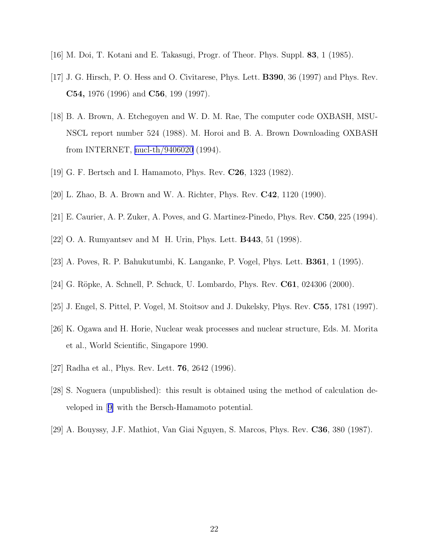- <span id="page-21-0"></span>[16] M. Doi, T. Kotani and E. Takasugi, Progr. of Theor. Phys. Suppl. 83, 1 (1985).
- [17] J. G. Hirsch, P. O. Hess and O. Civitarese, Phys. Lett. B390, 36 (1997) and Phys. Rev. C54, 1976 (1996) and C56, 199 (1997).
- [18] B. A. Brown, A. Etchegoyen and W. D. M. Rae, The computer code OXBASH, MSU-NSCL report number 524 (1988). M. Horoi and B. A. Brown Downloading OXBASH from INTERNET, [nucl-th/9406020](http://arxiv.org/abs/nucl-th/9406020) (1994).
- [19] G. F. Bertsch and I. Hamamoto, Phys. Rev. **C26**, 1323 (1982).
- [20] L. Zhao, B. A. Brown and W. A. Richter, Phys. Rev. C42, 1120 (1990).
- [21] E. Caurier, A. P. Zuker, A. Poves, and G. Martinez-Pinedo, Phys. Rev. C50, 225 (1994).
- [22] O. A. Rumyantsev and M H. Urin, Phys. Lett. B443, 51 (1998).
- [23] A. Poves, R. P. Bahukutumbi, K. Langanke, P. Vogel, Phys. Lett. B361, 1 (1995).
- [24] G. Röpke, A. Schnell, P. Schuck, U. Lombardo, Phys. Rev. **C61**, 024306 (2000).
- [25] J. Engel, S. Pittel, P. Vogel, M. Stoitsov and J. Dukelsky, Phys. Rev. C55, 1781 (1997).
- [26] K. Ogawa and H. Horie, Nuclear weak processes and nuclear structure, Eds. M. Morita et al., World Scientific, Singapore 1990.
- [27] Radha et al., Phys. Rev. Lett. 76, 2642 (1996).
- [28] S. Noguera (unpublished): this result is obtained using the method of calculation developed in[[9\]](#page-20-0) with the Bersch-Hamamoto potential.
- [29] A. Bouyssy, J.F. Mathiot, Van Giai Nguyen, S. Marcos, Phys. Rev. C36, 380 (1987).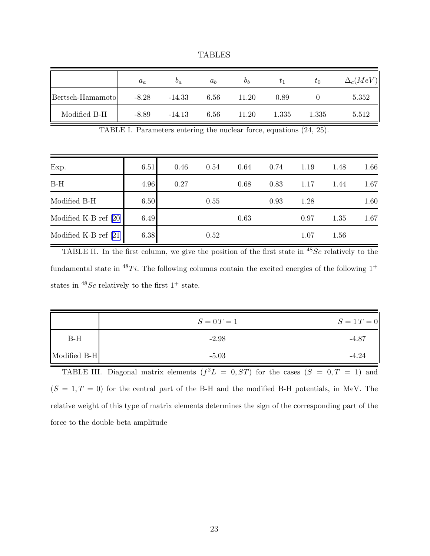TABLES

<span id="page-22-0"></span>

|                  | $a_a$   | $v_a$    | $a_h$ | $b_h$ | $\tau_1$ | $\tau_0$ | $\Delta_c(MeV)$ |
|------------------|---------|----------|-------|-------|----------|----------|-----------------|
| Bertsch-Hamamoto | $-8.28$ | $-14.33$ | 6.56  | 11.20 | 0.89     |          | 5.352           |
| Modified B-H     | $-8.89$ | $-14.13$ | 6.56  | 11.20 | 1.335    | 1.335    | 5.512           |

TABLE I. Parameters entering the nuclear force, equations (24, 25).

| Exp.                    | 6.51 | 0.46 | 0.54 | 0.64 | 0.74 | 1.19 | 1.48 | 1.66 |
|-------------------------|------|------|------|------|------|------|------|------|
| $B-H$                   | 4.96 | 0.27 |      | 0.68 | 0.83 | 1.17 | 1.44 | 1.67 |
| Modified B-H            | 6.50 |      | 0.55 |      | 0.93 | 1.28 |      | 1.60 |
| Modified K-B ref $[20]$ | 6.49 |      |      | 0.63 |      | 0.97 | 1.35 | 1.67 |
| Modified K-B ref $[21]$ | 6.38 |      | 0.52 |      |      | 1.07 | 1.56 |      |

TABLE II. In the first column, we give the position of the first state in  $^{48}Sc$  relatively to the fundamental state in <sup>48</sup>Ti. The following columns contain the excited energies of the following  $1^+$ states in  $^{48}Sc$  relatively to the first  $1^+$  state.

|              | $S = 0 T = 1$ | $S = 1 T = 0$ |
|--------------|---------------|---------------|
| $B-H$        | $-2.98$       | $-4.87$       |
| Modified B-H | $-5.03$       | $-4.24$       |

TABLE III. Diagonal matrix elements  $(f^2L = 0, ST)$  for the cases  $(S = 0, T = 1)$  and  $(S = 1, T = 0)$  for the central part of the B-H and the modified B-H potentials, in MeV. The relative weight of this type of matrix elements determines the sign of the corresponding part of the force to the double beta amplitude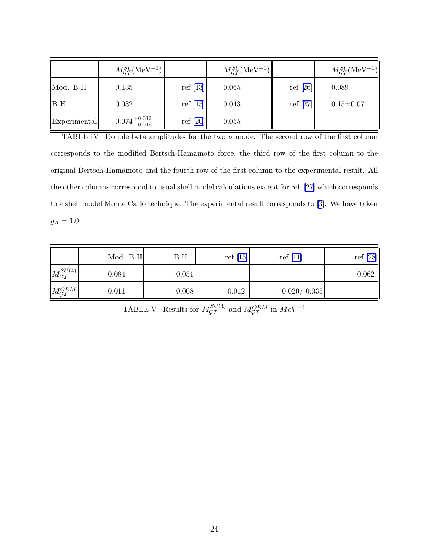<span id="page-23-0"></span>

|              | $M_{GT}^{St}$ (MeV <sup>-1</sup> ) |            | $M_{GT}^{St}$ (MeV <sup>-1</sup> ) |            | $M_{GT}^{St}$ (MeV <sup>-1</sup> ) |
|--------------|------------------------------------|------------|------------------------------------|------------|------------------------------------|
| Mod. B-H     | 0.135                              | ref $[13]$ | 0.065                              | ref $[26]$ | 0.089                              |
| $B-H$        | 0.032                              | ref $[15]$ | 0.043                              | ref $[27]$ | $0.15 \pm 0.07$                    |
| Experimental | $0.074_{-0.015}^{+0.012}$          | ref $[20]$ | 0.055                              |            |                                    |

TABLE IV. Double beta amplitudes for the two  $\nu$  mode. The second row of the first column corresponds to the modified Bertsch-Hamamoto force, the third row of the first column to the original Bertsch-Hamamoto and the fourth row of the first column to the experimental result. All the other columns correspond to usual shell model calculations except for ref. [\[27](#page-21-0)] which corresponds to a shell model Monte Carlo technique. The experimental result corresponds to[[3](#page-20-0)]. We have taken  $g_A=1.0$ 

|                            | Mod. B-H | $B-H$    | ref $[15]$ | ref $[11]$      | ref $[28]$ |
|----------------------------|----------|----------|------------|-----------------|------------|
| $M_{\mathcal{GT}}^{SU(4)}$ | 0.084    | $-0.051$ |            |                 | $-0.062$   |
| $M_{\mathcal{GT}}^{OEM}$   | 0.011    | $-0.008$ | $-0.012$   | $-0.020/-0.035$ |            |

TABLE V. Results for  $M_{\mathcal{GT}}^{SU(4)}$  and  $M_{\mathcal{GT}}^{OEM}$  in  $MeV^{-1}$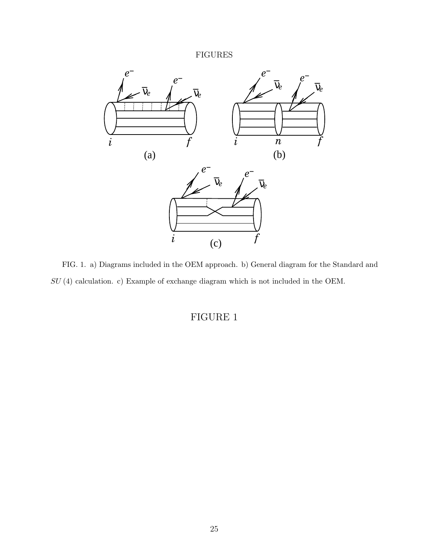<span id="page-24-0"></span>

FIG. 1. a) Diagrams included in the OEM approach. b) General diagram for the Standard and SU (4) calculation. c) Example of exchange diagram which is not included in the OEM.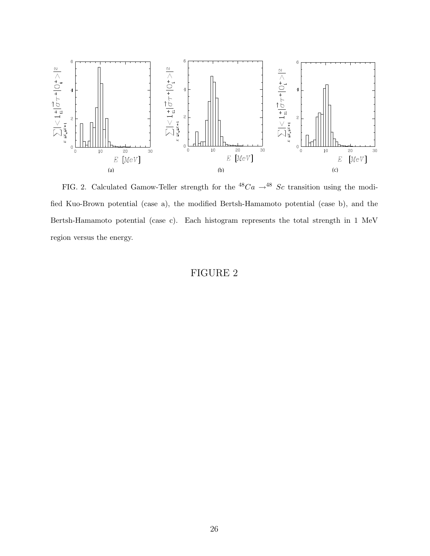<span id="page-25-0"></span>

FIG. 2. Calculated Gamow-Teller strength for the  ${}^{48}Ca \rightarrow {}^{48}Sc$  transition using the modified Kuo-Brown potential (case a), the modified Bertsh-Hamamoto potential (case b), and the Bertsh-Hamamoto potential (case c). Each histogram represents the total strength in 1 MeV region versus the energy.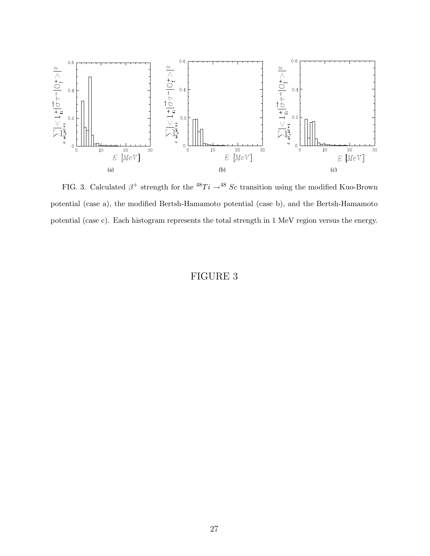<span id="page-26-0"></span>

FIG. 3. Calculated  $\beta^+$  strength for the <sup>48</sup>Ti  $\rightarrow$ <sup>48</sup> Sc transition using the modified Kuo-Brown potential (case a), the modified Bertsh-Hamamoto potential (case b), and the Bertsh-Hamamoto potential (case c). Each histogram represents the total strength in 1 MeV region versus the energy.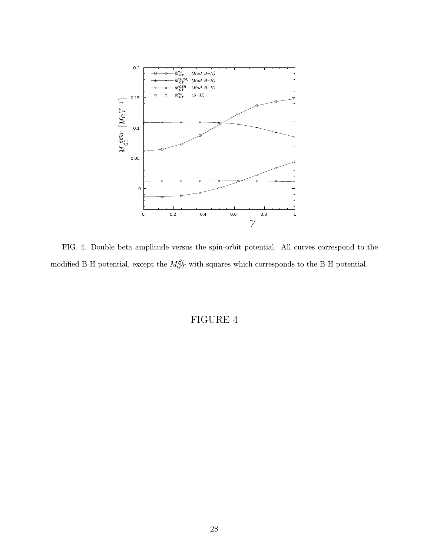<span id="page-27-0"></span>

FIG. 4. Double beta amplitude versus the spin-orbit potential. All curves correspond to the modified B-H potential, except the  $M_{GT}^{St}$  with squares which corresponds to the B-H potential.